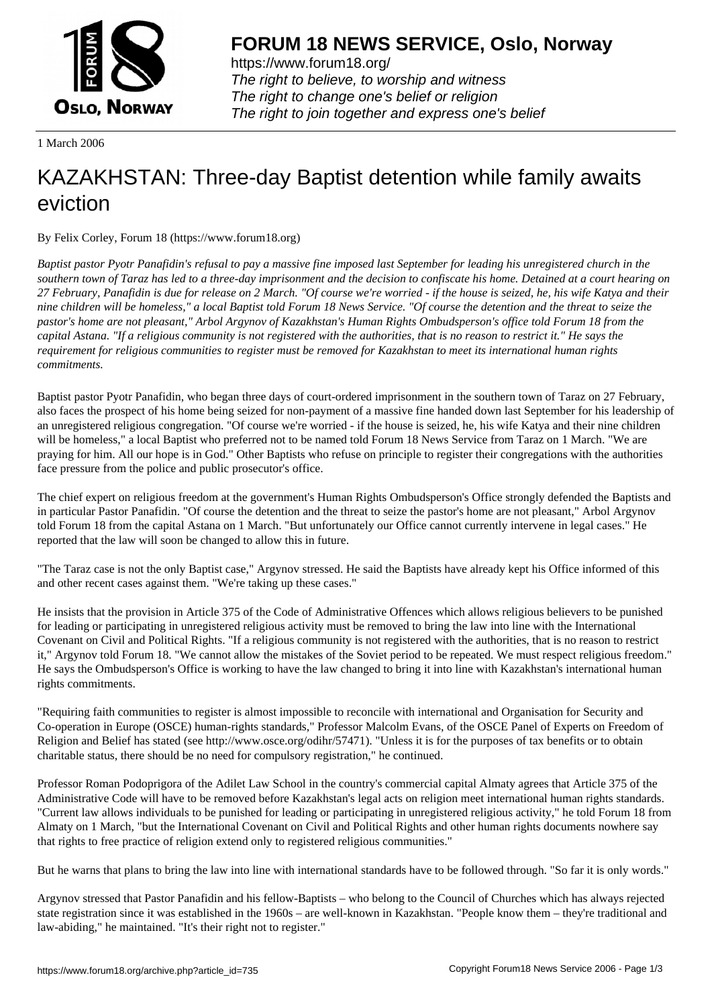

https://www.forum18.org/ The right to believe, to worship and witness The right to change one's belief or religion [The right to join together a](https://www.forum18.org/)nd express one's belief

1 March 2006

## [KAZAKHSTAN:](https://www.forum18.org) Three-day Baptist detention while family awaits eviction

By Felix Corley, Forum 18 (https://www.forum18.org)

*Baptist pastor Pyotr Panafidin's refusal to pay a massive fine imposed last September for leading his unregistered church in the southern town of Taraz has led to a three-day imprisonment and the decision to confiscate his home. Detained at a court hearing on 27 February, Panafidin is due for release on 2 March. "Of course we're worried - if the house is seized, he, his wife Katya and their nine children will be homeless," a local Baptist told Forum 18 News Service. "Of course the detention and the threat to seize the pastor's home are not pleasant," Arbol Argynov of Kazakhstan's Human Rights Ombudsperson's office told Forum 18 from the capital Astana. "If a religious community is not registered with the authorities, that is no reason to restrict it." He says the requirement for religious communities to register must be removed for Kazakhstan to meet its international human rights commitments.*

Baptist pastor Pyotr Panafidin, who began three days of court-ordered imprisonment in the southern town of Taraz on 27 February, also faces the prospect of his home being seized for non-payment of a massive fine handed down last September for his leadership of an unregistered religious congregation. "Of course we're worried - if the house is seized, he, his wife Katya and their nine children will be homeless," a local Baptist who preferred not to be named told Forum 18 News Service from Taraz on 1 March. "We are praying for him. All our hope is in God." Other Baptists who refuse on principle to register their congregations with the authorities face pressure from the police and public prosecutor's office.

The chief expert on religious freedom at the government's Human Rights Ombudsperson's Office strongly defended the Baptists and in particular Pastor Panafidin. "Of course the detention and the threat to seize the pastor's home are not pleasant," Arbol Argynov told Forum 18 from the capital Astana on 1 March. "But unfortunately our Office cannot currently intervene in legal cases." He reported that the law will soon be changed to allow this in future.

"The Taraz case is not the only Baptist case," Argynov stressed. He said the Baptists have already kept his Office informed of this and other recent cases against them. "We're taking up these cases."

He insists that the provision in Article 375 of the Code of Administrative Offences which allows religious believers to be punished for leading or participating in unregistered religious activity must be removed to bring the law into line with the International Covenant on Civil and Political Rights. "If a religious community is not registered with the authorities, that is no reason to restrict it," Argynov told Forum 18. "We cannot allow the mistakes of the Soviet period to be repeated. We must respect religious freedom." He says the Ombudsperson's Office is working to have the law changed to bring it into line with Kazakhstan's international human rights commitments.

"Requiring faith communities to register is almost impossible to reconcile with international and Organisation for Security and Co-operation in Europe (OSCE) human-rights standards," Professor Malcolm Evans, of the OSCE Panel of Experts on Freedom of Religion and Belief has stated (see http://www.osce.org/odihr/57471). "Unless it is for the purposes of tax benefits or to obtain charitable status, there should be no need for compulsory registration," he continued.

Professor Roman Podoprigora of the Adilet Law School in the country's commercial capital Almaty agrees that Article 375 of the Administrative Code will have to be removed before Kazakhstan's legal acts on religion meet international human rights standards. "Current law allows individuals to be punished for leading or participating in unregistered religious activity," he told Forum 18 from Almaty on 1 March, "but the International Covenant on Civil and Political Rights and other human rights documents nowhere say that rights to free practice of religion extend only to registered religious communities."

But he warns that plans to bring the law into line with international standards have to be followed through. "So far it is only words."

Argynov stressed that Pastor Panafidin and his fellow-Baptists – who belong to the Council of Churches which has always rejected state registration since it was established in the 1960s – are well-known in Kazakhstan. "People know them – they're traditional and law-abiding," he maintained. "It's their right not to register."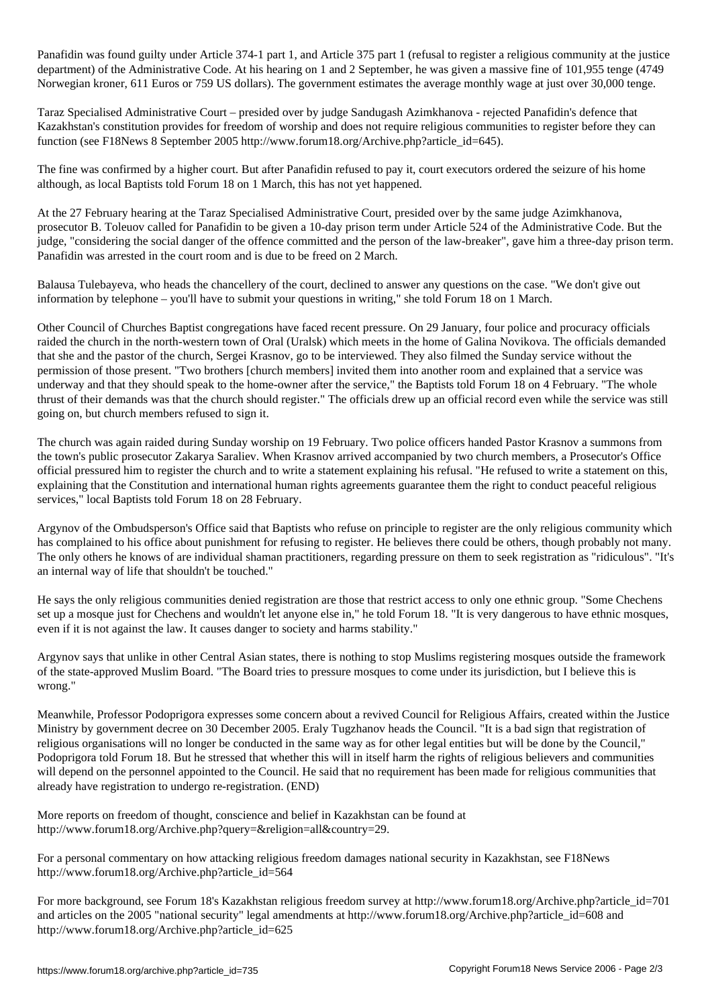Panafidin was found guilty under Article 374-1 part 1, and Article 375 part 1 (refusal to register a religious community at the justice department) of the Administrative Code. At his hearing on 1 and 2 September, he was given a massive fine of 101,955 tenge (4749 Norwegian kroner, 611 Euros or 759 US dollars). The government estimates the average monthly wage at just over 30,000 tenge.

Taraz Specialised Administrative Court – presided over by judge Sandugash Azimkhanova - rejected Panafidin's defence that Kazakhstan's constitution provides for freedom of worship and does not require religious communities to register before they can function (see F18News 8 September 2005 http://www.forum18.org/Archive.php?article\_id=645).

The fine was confirmed by a higher court. But after Panafidin refused to pay it, court executors ordered the seizure of his home although, as local Baptists told Forum 18 on 1 March, this has not yet happened.

At the 27 February hearing at the Taraz Specialised Administrative Court, presided over by the same judge Azimkhanova, prosecutor B. Toleuov called for Panafidin to be given a 10-day prison term under Article 524 of the Administrative Code. But the judge, "considering the social danger of the offence committed and the person of the law-breaker", gave him a three-day prison term. Panafidin was arrested in the court room and is due to be freed on 2 March.

Balausa Tulebayeva, who heads the chancellery of the court, declined to answer any questions on the case. "We don't give out information by telephone – you'll have to submit your questions in writing," she told Forum 18 on 1 March.

Other Council of Churches Baptist congregations have faced recent pressure. On 29 January, four police and procuracy officials raided the church in the north-western town of Oral (Uralsk) which meets in the home of Galina Novikova. The officials demanded that she and the pastor of the church, Sergei Krasnov, go to be interviewed. They also filmed the Sunday service without the permission of those present. "Two brothers [church members] invited them into another room and explained that a service was underway and that they should speak to the home-owner after the service," the Baptists told Forum 18 on 4 February. "The whole thrust of their demands was that the church should register." The officials drew up an official record even while the service was still going on, but church members refused to sign it.

The church was again raided during Sunday worship on 19 February. Two police officers handed Pastor Krasnov a summons from the town's public prosecutor Zakarya Saraliev. When Krasnov arrived accompanied by two church members, a Prosecutor's Office official pressured him to register the church and to write a statement explaining his refusal. "He refused to write a statement on this, explaining that the Constitution and international human rights agreements guarantee them the right to conduct peaceful religious services," local Baptists told Forum 18 on 28 February.

Argynov of the Ombudsperson's Office said that Baptists who refuse on principle to register are the only religious community which has complained to his office about punishment for refusing to register. He believes there could be others, though probably not many. The only others he knows of are individual shaman practitioners, regarding pressure on them to seek registration as "ridiculous". "It's an internal way of life that shouldn't be touched."

He says the only religious communities denied registration are those that restrict access to only one ethnic group. "Some Chechens set up a mosque just for Chechens and wouldn't let anyone else in," he told Forum 18. "It is very dangerous to have ethnic mosques, even if it is not against the law. It causes danger to society and harms stability."

Argynov says that unlike in other Central Asian states, there is nothing to stop Muslims registering mosques outside the framework of the state-approved Muslim Board. "The Board tries to pressure mosques to come under its jurisdiction, but I believe this is wrong."

Meanwhile, Professor Podoprigora expresses some concern about a revived Council for Religious Affairs, created within the Justice Ministry by government decree on 30 December 2005. Eraly Tugzhanov heads the Council. "It is a bad sign that registration of religious organisations will no longer be conducted in the same way as for other legal entities but will be done by the Council," Podoprigora told Forum 18. But he stressed that whether this will in itself harm the rights of religious believers and communities will depend on the personnel appointed to the Council. He said that no requirement has been made for religious communities that already have registration to undergo re-registration. (END)

More reports on freedom of thought, conscience and belief in Kazakhstan can be found at http://www.forum18.org/Archive.php?query=&religion=all&country=29.

For a personal commentary on how attacking religious freedom damages national security in Kazakhstan, see F18News http://www.forum18.org/Archive.php?article\_id=564

For more background, see Forum 18's Kazakhstan religious freedom survey at http://www.forum18.org/Archive.php?article\_id=701 and articles on the 2005 "national security" legal amendments at http://www.forum18.org/Archive.php?article\_id=608 and http://www.forum18.org/Archive.php?article\_id=625